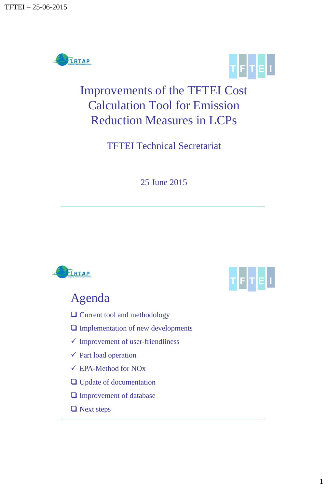



## Improvements of the TFTEI Cost Calculation Tool for Emission Reduction Measures in LCPs

TFTEI Technical Secretariat

25 June 2015



- $\Box$  Current tool and methodology
- $\Box$  Implementation of new developments
- $\checkmark$  Improvement of user-friendliness
- $\checkmark$  Part load operation
- EPA-Method for NOx
- □ Update of documentation
- **Improvement of database**
- **□** Next steps

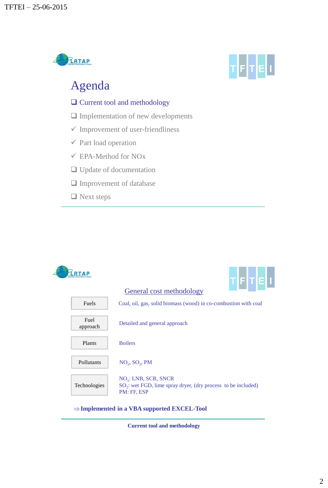



### Agenda

- □ Current tool and methodology
- $\Box$  Implementation of new developments
- $\checkmark$  Improvement of user-friendliness
- $\checkmark$  Part load operation
- EPA-Method for NOx
- □ Update of documentation
- □ Improvement of database
- Next steps



**Current tool and methodology**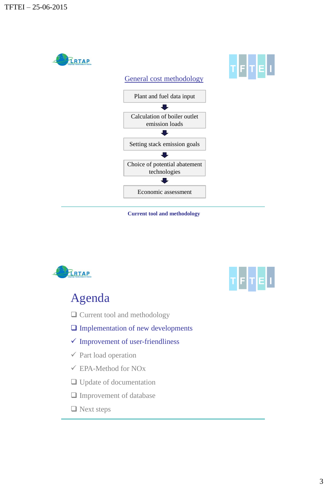



# TETEL

- $\square$  Current tool and methodology
- $\Box$  Implementation of new developments
- $\checkmark$  Improvement of user-friendliness
- $\checkmark$  Part load operation
- EPA-Method for NOx
- □ Update of documentation
- Improvement of database
- □ Next steps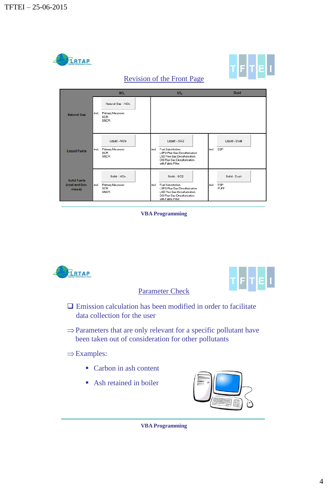



#### Revision of the Front Page



**VBA Programming**



Parameter Check



- $\Box$  Emission calculation has been modified in order to facilitate data collection for the user
- $\Rightarrow$  Parameters that are only relevant for a specific pollutant have been taken out of consideration for other pollutants
- $\Rightarrow$  Examples:
	- Carbon in ash content
	- Ash retained in boiler



#### **VBA Programming**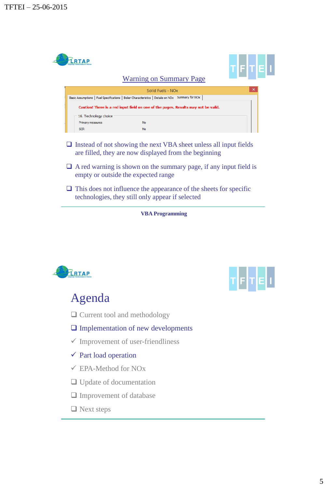

technologies, they still only appear if selected

**VBA Programming**



## ┲┢┟╁╠

- □ Current tool and methodology
- $\Box$  Implementation of new developments
- $\checkmark$  Improvement of user-friendliness
- $\checkmark$  Part load operation
- EPA-Method for NOx
- □ Update of documentation
- □ Improvement of database
- $\Box$  Next steps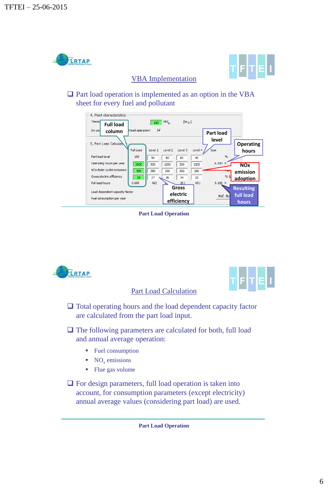



#### VBA Implementation

 $\Box$  Part load operation is implemented as an option in the VBA sheet for every fuel and pollutant



#### **Part Load Operation**

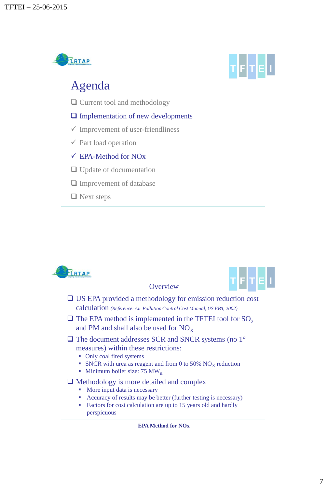

## Agenda

- □ Current tool and methodology
- $\Box$  Implementation of new developments
- $\checkmark$  Improvement of user-friendliness
- $\checkmark$  Part load operation

#### EPA-Method for NOx

- □ Update of documentation
- $\Box$  Improvement of database
- $\Box$  Next steps

**FRTAP** 





 US EPA provided a methodology for emission reduction cost calculation *(Reference: Air Pollution Control Cost Manual, US EPA, 2002)*

**Overview** 

- $\Box$  The EPA method is implemented in the TFTEI tool for SO<sub>2</sub> and PM and shall also be used for  $NO<sub>x</sub>$
- $\Box$  The document addresses SCR and SNCR systems (no 1 $\degree$ measures) within these restrictions:
	- Only coal fired systems
	- SNCR with urea as reagent and from 0 to 50%  $NO<sub>x</sub>$  reduction
	- **Minimum boiler size: 75 MW**<sub>th</sub>

#### $\Box$  Methodology is more detailed and complex

- More input data is necessary
- Accuracy of results may be better (further testing is necessary)
- Factors for cost calculation are up to 15 years old and hardly perspicuous

#### **EPA Method for NOx**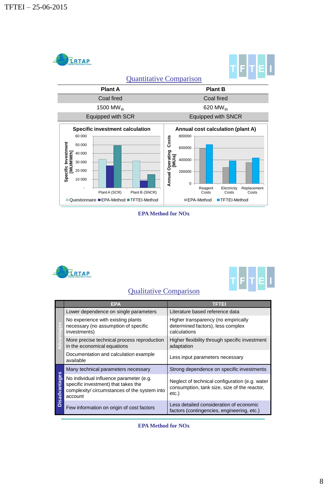

**EPA Method for NOx**





#### Qualitative Comparison

|                   | EPA                                                                                                                                       | TETEL                                                                                                  |
|-------------------|-------------------------------------------------------------------------------------------------------------------------------------------|--------------------------------------------------------------------------------------------------------|
|                   | Lower dependence on single parameters                                                                                                     | Literature based reference data                                                                        |
|                   | No experience with existing plants<br>necessary (no assumption of specific<br>investments)                                                | Higher transparency (no empirically<br>determined factors), less complex<br>calculations               |
|                   | More precise technical process reproduction<br>in the economical equations                                                                | Higher flexibility through specific investment<br>adaptation                                           |
|                   | Documentation and calculation example<br>available                                                                                        | Less input parameters necessary                                                                        |
| isadvantages<br>Δ | Many technical parameters necessary                                                                                                       | Strong dependence on specific investments                                                              |
|                   | No individual influence parameter (e.g.<br>specific investment) that takes the<br>complexity/ circumstances of the system into<br>account | Neglect of technical configuration (e.g. water<br>consumption, tank size, size of the reactor,<br>etc. |
|                   | Few information on origin of cost factors                                                                                                 | Less detailed consideration of economic<br>factors (contingencies, engineering, etc.)                  |

**EPA Method for NOx**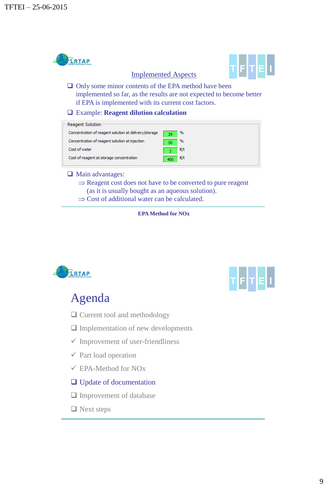

**EPA Method for NOx**





- □ Current tool and methodology
- $\Box$  Implementation of new developments
- $\checkmark$  Improvement of user-friendliness
- $\checkmark$  Part load operation
- EPA-Method for NOx
- □ Update of documentation
- **Improvement of database**
- $\Box$  Next steps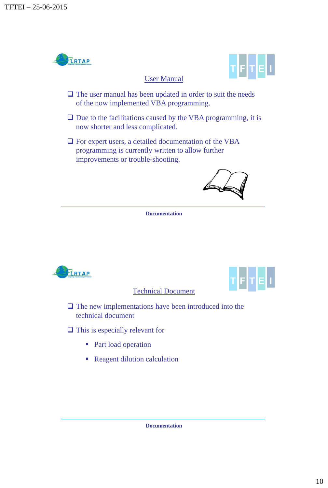

Technical Document

 $\Box$  The new implementations have been introduced into the technical document

 $\Box$  This is especially relevant for

- Part load operation
- Reagent dilution calculation

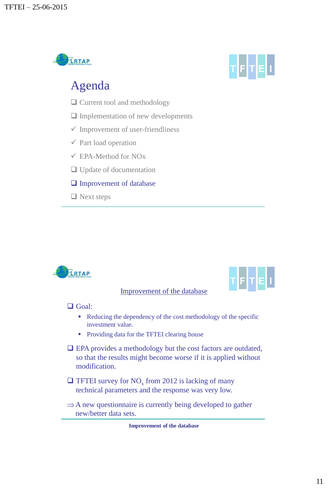



### Agenda

- □ Current tool and methodology
- $\Box$  Implementation of new developments
- $\checkmark$  Improvement of user-friendliness
- $\checkmark$  Part load operation
- EPA-Method for NOx
- □ Update of documentation
- $\Box$  Improvement of database
- $\Box$  Next steps



Improvement of the database



#### □ Goal:

- Reducing the dependency of the cost methodology of the specific investment value.
- Providing data for the TFTEI clearing house
- EPA provides a methodology but the cost factors are outdated, so that the results might become worse if it is applied without modification.
- $\Box$  TFTEI survey for NO<sub>x</sub> from 2012 is lacking of many technical parameters and the response was very low.
- $\Rightarrow$  A new questionnaire is currently being developed to gather new/better data sets.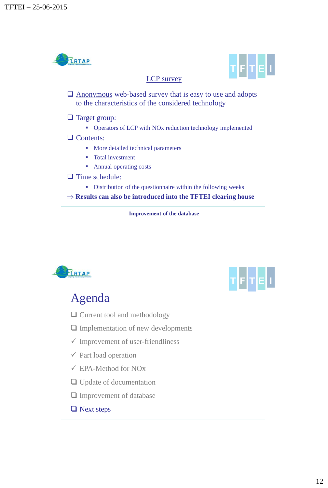

**Improvement of the database**





- □ Current tool and methodology
- $\Box$  Implementation of new developments
- $\checkmark$  Improvement of user-friendliness
- $\checkmark$  Part load operation
- EPA-Method for NOx
- □ Update of documentation
- $\square$  Improvement of database
- $\Box$  Next steps